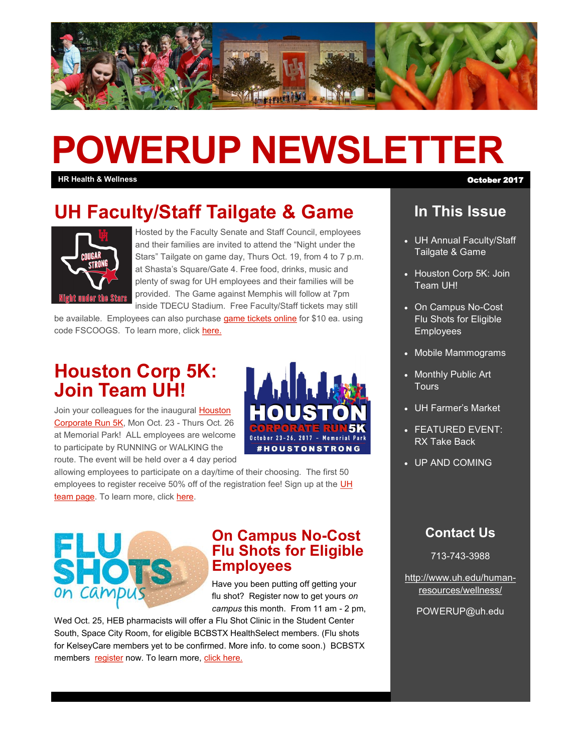

# **POWERUP NEWSLETTER**

**HR Health & Wellness** October 2017

# **UH Faculty/Staff Tailgate & Game**



Hosted by the Faculty Senate and Staff Council, employees and their families are invited to attend the "Night under the Stars" Tailgate on game day, Thurs Oct. 19, from 4 to 7 p.m. at Shasta's Square/Gate 4. Free food, drinks, music and plenty of swag for UH employees and their families will be provided. The Game against Memphis will follow at 7pm inside TDECU Stadium. Free Faculty/Staff tickets may still

be available. Employees can also purchase [game tickets online](https://ev3.evenue.net/cgi-bin/ncommerce3/SEGetEventList?groupCode=FBSINGLE&linkID=houston&shopperContext=&caller=&appCode=) for \$10 ea. using code FSCOOGS. To learn more, click [here.](http://www.uh.edu/human-resources/wellness/Tailgate-Ticket-Giveaway.pdf)

# **Houston Corp 5K: Join Team UH!**

Join your colleagues for the inaugural [Houston](http://www.houstoncorporate5k.com/)  [Corporate Run 5K,](http://www.houstoncorporate5k.com/) Mon Oct. 23 - Thurs Oct. 26 at Memorial Park! ALL employees are welcome to participate by RUNNING or WALKING the route. The event will be held over a 4 day period



allowing employees to participate on a day/time of their choosing. The first 50 employees to register receive 50% off of the registration fee! Sign up at the UH [team page.](https://runsignup.com/CorporateTeams/UH) To learn more, click [here.](https://runsignup.com/Race/TX/Houston/HoustonCorporateRun5k)



#### **On Campus No-Cost Flu Shots for Eligible Employees**

Have you been putting off getting your flu shot? Register now to get yours *on campus* this month. From 11 am - 2 pm,

Wed Oct. 25, HEB pharmacists will offer a Flu Shot Clinic in the Student Center South, Space City Room, for eligible BCBSTX HealthSelect members. (Flu shots for KelseyCare members yet to be confirmed. More info. to come soon.) BCBSTX members [register](https://docs.google.com/forms/d/1lk0B6wUDPjgcO_JKIkz_aitmpCvNmUiqFvT53aslM6g/viewform?edit_requested=true) now. To learn more, [click here.](http://www.uh.edu/human-resources/wellness/Flu-Shot.pdf)

### **In This Issue**

- UH Annual Faculty/Staff Tailgate & Game
- Houston Corp 5K: Join Team UH!
- On Campus No-Cost Flu Shots for Eligible **Employees**
- Mobile Mammograms
- Monthly Public Art **Tours**
- UH Farmer's Market
- FEATURED EVENT: RX Take Back
- UP AND COMING

#### **Contact Us**

713-743-3988

[http://www.uh.edu/human](http://uhhelpdesk.custhelp.com/rd?1=AvNw~wqPDv8S~x7zGl1m~yKZAFsohC77Mv~m~z7~Pv8v&2=26669)[resources/wellness/](http://uhhelpdesk.custhelp.com/rd?1=AvNw~wqPDv8S~x7zGl1m~yKZAFsohC77Mv~m~z7~Pv8v&2=26669)

POWERUP@uh.edu